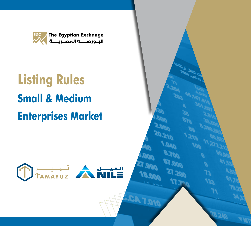

# **Listing Rules Small & Medium Enterprises Market**



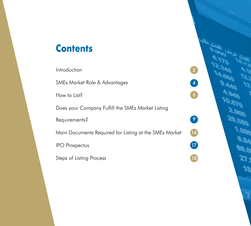# **Contents**

Introduction SMEs Market Role & Advantages How to List? Does your Company Fulfill the SMEs Market Listing Requirements? Main Documents Required for Listing at the SMEs Market IPO Prospectus Steps of Listing Process

2

4

6

 $\bullet$ 

18

27

14

9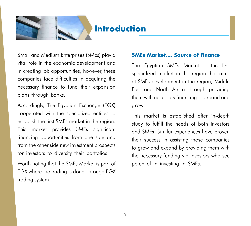

# **Introduction**

Small and Medium Enterprises (SMEs) play a vital role in the economic development and in creating job opportunities; however, these companies face difficulties in acquiring the necessary finance to fund their expansion plans through banks.

Accordingly, The Egyptian Exchange (EGX) cooperated with the specialized entities to establish the first SMEs market in the region. This market provides SMEs significant financing opportunities from one side and from the other side new investment prospects for investors to diversify their portfolios.

Worth noting that the SMEs Market is part of EGX where the trading is done through EGX trading system.

#### **SMEs Market…. Source of Finance**

The Egyptian SMEs Market is the first specialized market in the region that aims at SMEs development in the region, Middle East and North Africa through providing them with necessary financing to expand and grow.

This market is established after in-depth study to fulfill the needs of both investors and SMEs. Similar experiences have proven their success in assisting those companies to grow and expand by providing them with the necessary funding via investors who see potential in investing in SMEs.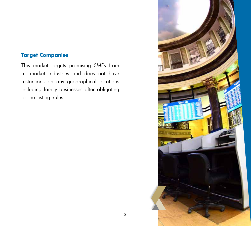#### **Target Companies**

This market targets promising SMEs from all market industries and does not have restrictions on any geographical locations including family businesses after obligating to the listing rules.

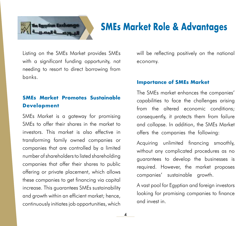

# **SMEs Market Role & Advantages**

Listing on the SMEs Market provides SMEs with a significant funding opportunity, not needing to resort to direct borrowing from banks.

### **SMEs Market Promotes Sustainable Development**

SMEs Market is a gateway for promising SMEs to offer their shares in the market to investors. This market is also effective in transforming family owned companies or companies that are controlled by a limited number of shareholders to listed shareholding companies that offer their shares to public offering or private placement, which allows these companies to get financing via capital increase. This guarantees SMEs sustainability and growth within an efficient market; hence, continuously initiates job opportunities, which

4

will be reflecting positively on the national economy.

#### **Importance of SMEs Market**

The SMEs market enhances the companies' capabilities to face the challenges arising from the altered economic conditions; consequently, it protects them from failure and collapse. In addition, the SMEs Market offers the companies the following:

Acquiring unlimited financing smoothly, without any complicated procedures as no guarantees to develop the businesses is required. However, the market proposes companies' sustainable growth.

A vast pool for Egyptian and foreign investors looking for promising companies to finance and invest in.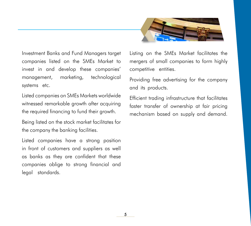

Investment Banks and Fund Managers target companies listed on the SMEs Market to invest in and develop these companies' management, marketing, technological systems etc.

Listed companies on SMEs Markets worldwide witnessed remarkable growth after acquiring the required financing to fund their growth.

Being listed on the stock market facilitates for the company the banking facilities.

Listed companies have a strong position in front of customers and suppliers as well as banks as they are confident that these companies oblige to strong financial and legal standards.

Listing on the SMEs Market facilitates the mergers of small companies to form highly competitive entities.

Providing free advertising for the company and its products.

Efficient trading infrastructure that facilitates faster transfer of ownership at fair pricing mechanism based on supply and demand.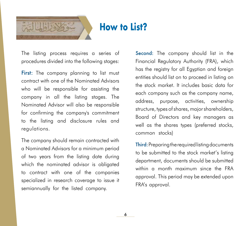

# **How to List?**

6

The listing process requires a series of procedures divided into the following stages:

First: The company planning to list must contract with one of the Nominated Advisors who will be responsible for assisting the company in all the listing stages. The Nominated Advisor will also be responsible for confirming the company's commitment to the listing and disclosure rules and regulations.

The company should remain contracted with a Nominated Advisors for a minimum period of two years from the listing date during which the nominated advisor is obligated to contract with one of the companies specialized in research coverage to issue it semiannually for the listed company.

Second: The company should list in the Financial Regulatory Authority (FRA), which has the registry for all Egyptian and foreign entities should list on to proceed in listing on the stock market. It includes basic data for each company such as the company name, address, purpose, activities, ownership structure, types of shares, major shareholders, Board of Directors and key managers as well as the shares types (preferred stocks, common stocks)

Third: Preparing the required listing documents to be submitted to the stock market's listing department, documents should be submitted within a month maximum since the FRA approval. This period may be extended upon FRA's approval.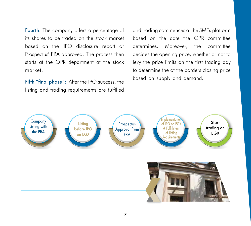Fourth: The company offers a percentage of its shares to be traded on the stock market based on the 'IPO disclosure report or Prospectus' FRA approved. The process then starts at the OPR department at the stock market.

Fifth "final phase": After the IPO success, the listing and trading requirements are fulfilled and trading commences at the SMEs platform based on the date the OPR committee determines. Moreover, the committee decides the opening price, whether or not to levy the price limits on the first trading day to determine the of the borders closing price based on supply and demand.

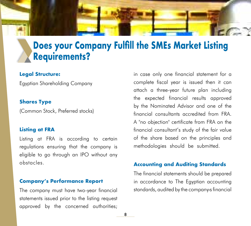

# **Does your Company Fulfill the SMEs Market Listing Requirements?**

#### **Legal Structure:**

Egyptian Shareholding Company

#### **Shares Type**

(Common Stock, Preferred stocks)

#### **Listing at FRA**

Listing at FRA is according to certain regulations ensuring that the company is eligible to go through an IPO without any obstacles.

#### **Company's Performance Report**

The company must have two-year financial statements issued prior to the listing request approved by the concerned authorities;

in case only one financial statement for a complete fiscal year is issued then it can attach a three-year future plan including the expected financial results approved by the Nominated Advisor and one of the financial consultants accredited from FRA. A "no objection" certificate from FRA on the financial consultant's study of the fair value of the share based on the principles and methodologies should be submitted.

#### **Accounting and Auditing Standards**

The financial statements should be prepared in accordance to The Egyptian accounting standards, audited by the company›s financial

8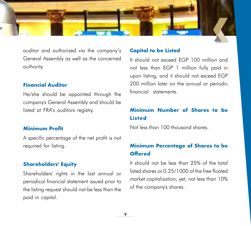

auditor and authorized via the company's General Assembly as well as the concerned authority.

#### **Financial Auditor**

He/she should be appointed through the company's General Assembly and should be listed at FRA's auditors registry.

#### **Minimum Profit**

A specific percentage of the net profit is not required for listing.

#### **Shareholders' Equity**

Shareholders' rights in the last annual or periodical financial statement issued prior to the listing request should not be less than the paid in capital.

#### **Capital to be Listed**

It should not exceed EGP 100 million and not less than EGP 1 million fully paid in upon listing, and it should not exceed EGP 200 million later on the annual or periodic financial statements.

## **Minimum Number of Shares to be Listed**

Not less than 100 thousand shares.

### **Minimum Percentage of Shares to be Offered**

It should not be less than 25% of the total listed shares or 0.25/1000 of the free floated market capitalization; yet, not less than 10% of the company's shares.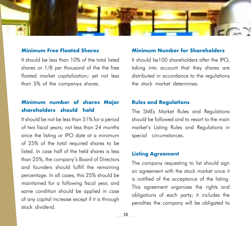

#### **Minimum Free Floated Shares**

It should be less than 10% of the total listed shares or 1/8 per thousand of the the free floated market capitalization; yet not less than 5% of the company›s shares.

### **Minimum number of shares Major shareholders should hold**

It should be not be less than 51% for a period of two fiscal years; not less than 24 months since the listing or IPO date at a minimum of 25% of the total required shares to be listed. In case half of the held shares is less than 25%, the company's Board of Directors and founders should fulfill the remaining percentage. In all cases, this 25% should be maintained for a following fiscal year, and same condition should be applied in case of any capital increase except if it is through stock dividend.

#### **Minimum Number for Shareholders**

It should be100 shareholders after the IPO, taking into account that they shares are distributed in accordance to the regulations the stock market determines.

#### **Rules and Regulations**

The SMEs Market Rules and Regulations should be followed and to resort to the main market's Listing Rules and Regulations in special circumstances.

#### **Listing Agreement**

The company requesting to list should sign an agreement with the stock market once it is notified of the acceptance of the listing. This agreement organizes the rights and obligations of each party; it includes the penalties the company will be obligated to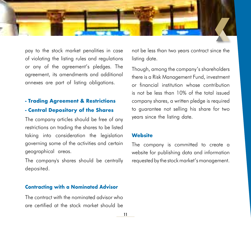

pay to the stock market penalities in case of violating the listing rules and regulations or any of the agreement's pledges. The agreement, its amendments and additional annexes are part of listing obligations.

### **- Trading Agreement & Restrictions - Central Depository of the Shares**

The company articles should be free of any restrictions on trading the shares to be listed taking into consideration the legislation governing some of the activities and certain geographical areas.

The company's shares should be centrally deposited.

#### **Contracting with a Nominated Advisor**

The contract with the nominated advisor who are certified at the stock market should be

not be less than two years contract since the listing date.

Though, among the company's shareholders there is a Risk Management Fund, investment or financial institution whose contribution is not be less than 10% of the total issued company shares, a written pledge is required to guarantee not selling his share for two years since the listing date.

#### **Website**

The company is committed to create a website for publishing data and information requested by the stock market's management.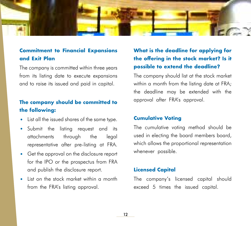

### **Commitment to Financial Expansions and Exit Plan**

The company is committed within three years from its listing date to execute expansions and to raise its issued and paid in capital.

### **The company should be committed to the following:**

- List all the issued shares of the same type.
- Submit the listing request and its attachments through the legal representative after pre-listing at FRA.
- Get the approval on the disclosure report for the IPO or the prospectus from FRA and publish the disclosure report.
- List on the stock market within a month from the FRA's listing approval.

## **What is the deadline for applying for the offering in the stock market? Is it possible to extend the deadline?**

The company should list at the stock market within a month from the listing date at FRA; the deadline may be extended with the approval after FRA's approval.

#### **Cumulative Voting**

The cumulative voting method should be used in electing the board members board, which allows the proportional representation whenever possible.

#### **Licensed Capital**

The company's licensed capital should exceed 5 times the issued capital.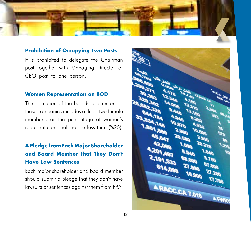

#### **Prohibition of Occupying Two Posts**

It is prohibited to delegate the Chairman post together with Managing Director or CEO post to one person.

#### **Women Representation on BOD**

The formation of the boards of directors of these companies includes at least two female members, or the percentage of women's representation shall not be less than (%25).

# **A Pledge from Each Major Shareholder and Board Member that They Don't Have Law Sentences**

Each major shareholder and board member should submit a pledge that they don't have lawsuits or sentences against them from FRA.

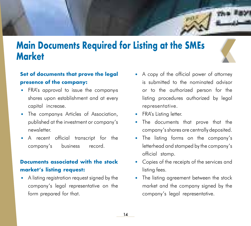

# **Main Documents Required for Listing at the SMEs Market**



# **Set of documents that prove the legal presence of the company:**

- FRA's approval to issue the company›s shares upon establishment and at every capital increase.
- The company›s Articles of Association, published at the investment or company's newsletter.
- A recent official transcript for the company's business record.

### **Documents associated with the stock market's listing request:**

• A listing registration request signed by the company's legal representative on the form prepared for that.

- A copy of the official power of attorney is submitted to the nominated advisor or to the authorized person for the listing procedures authorized by legal representative.
- FRA's Listing letter.
- The documents that prove that the company's shares are centrally deposited.
- The listing forms on the company's letterhead and stamped by the company's official stamp.
- Copies of the receipts of the services and listing fees.
- The listing agreement between the stock market and the company signed by the company's legal representative.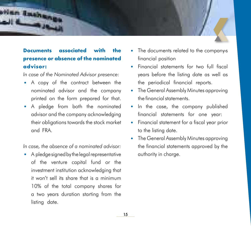

# **Documents associated with the presence or absence of the nominated advisor:**

*In case of the Nominated Advisor presence:*

- A copy of the contract between the nominated advisor and the company printed on the form prepared for that.
- A pledge from both the nominated advisor and the company acknowledging their obligations towards the stock market and FRA.

*In case, the absence of a nominated advisor:*

• A pledge signed by the legal representative of the venture capital fund or the investment institution acknowledging that it won't sell its share that is a minimum 10% of the total company shares for a two years duration starting from the listing date.

- The documents related to the company›s financial position
- Financial statements for two full fiscal years before the listing date as well as the periodical financial reports.
- The General Assembly Minutes approving the financial statements.
- In the case, the company published financial statements for one year:
- Financial statement for a fiscal year prior to the listing date.
- The General Assembly Minutes approving the financial statements approved by the authority in charge.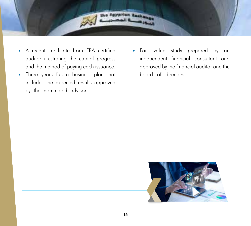

- A recent certificate from FRA certified auditor illustrating the capital progress and the method of paying each issuance.
- Three years future business plan that includes the expected results approved by the nominated advisor.
- Fair value study prepared by an independent financial consultant and approved by the financial auditor and the board of directors.

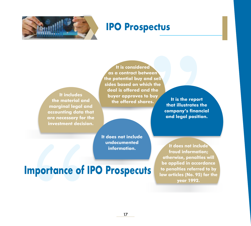

# **IPO Prospectus**

**It includes the material and marginal legal and accounting data that are necessary for the investment decision.**

**It is considered as a contract between the potential buy and sell sides based on which the deal is offered and the buyer approves to buy the offered shares.**

**It is the report that illustrates the company's financial and legal position.**

**It does not include undocumented** 

**information. It does not include fraud information; otherwise, penalties will be applied in accordance to penalties referred to by law articles (No. 95) for the year 1992.**

# **Importance of IPO Prospecuts**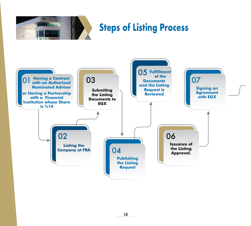

# **Steps of Listing Process**

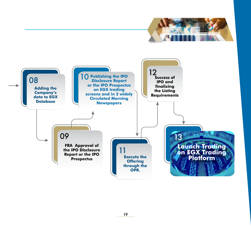